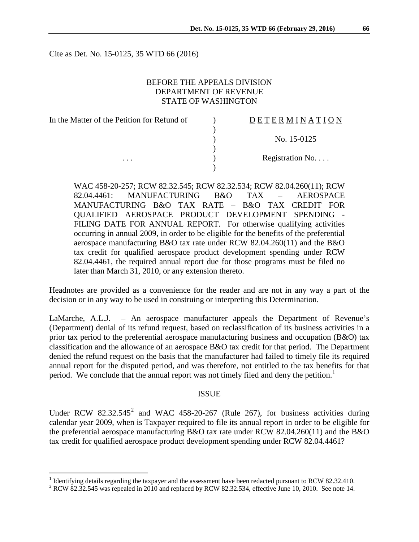Cite as Det. No. 15-0125, 35 WTD 66 (2016)

## BEFORE THE APPEALS DIVISION DEPARTMENT OF REVENUE STATE OF WASHINGTON

| In the Matter of the Petition for Refund of |  |
|---------------------------------------------|--|
|                                             |  |
|                                             |  |
|                                             |  |
|                                             |  |
|                                             |  |

# D E T E R M I N A T I O N

) No. 15-0125

Registration No. . . .

WAC 458-20-257; RCW 82.32.545; RCW 82.32.534; RCW 82.04.260(11); RCW 82.04.4461: MANUFACTURING B&O TAX – AEROSPACE MANUFACTURING B&O TAX RATE – B&O TAX CREDIT FOR QUALIFIED AEROSPACE PRODUCT DEVELOPMENT SPENDING - FILING DATE FOR ANNUAL REPORT. For otherwise qualifying activities occurring in annual 2009, in order to be eligible for the benefits of the preferential aerospace manufacturing B&O tax rate under RCW 82.04.260(11) and the B&O tax credit for qualified aerospace product development spending under RCW 82.04.4461, the required annual report due for those programs must be filed no later than March 31, 2010, or any extension thereto.

Headnotes are provided as a convenience for the reader and are not in any way a part of the decision or in any way to be used in construing or interpreting this Determination.

LaMarche, A.L.J. – An aerospace manufacturer appeals the Department of Revenue's (Department) denial of its refund request, based on reclassification of its business activities in a prior tax period to the preferential aerospace manufacturing business and occupation (B&O) tax classification and the allowance of an aerospace B&O tax credit for that period. The Department denied the refund request on the basis that the manufacturer had failed to timely file its required annual report for the disputed period, and was therefore, not entitled to the tax benefits for that period. We conclude that the annual report was not timely filed and deny the petition.<sup>[1](#page-0-0)</sup>

#### **ISSUE**

Under RCW  $82.32.545^2$  $82.32.545^2$  $82.32.545^2$  and WAC 458-20-267 (Rule 267), for business activities during calendar year 2009, when is Taxpayer required to file its annual report in order to be eligible for the preferential aerospace manufacturing B&O tax rate under RCW 82.04.260(11) and the B&O tax credit for qualified aerospace product development spending under RCW 82.04.4461?

<span id="page-0-1"></span><span id="page-0-0"></span><sup>&</sup>lt;sup>1</sup> Identifying details regarding the taxpayer and the assessment have been redacted pursuant to RCW 82.32.410. <sup>2</sup> RCW 82.32.545 was repealed in 2010 and replaced by RCW 82.32.534, effective June 10, 2010. See note 14.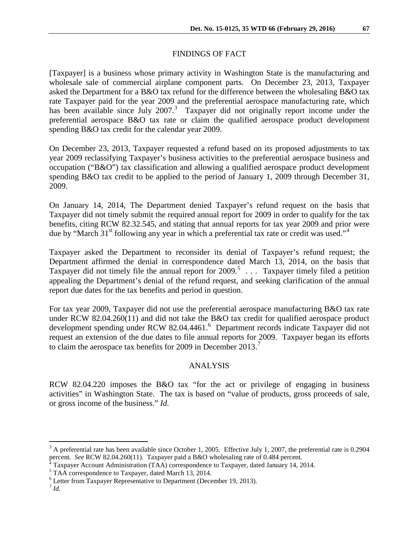### FINDINGS OF FACT

[Taxpayer] is a business whose primary activity in Washington State is the manufacturing and wholesale sale of commercial airplane component parts. On December 23, 2013, Taxpayer asked the Department for a B&O tax refund for the difference between the wholesaling B&O tax rate Taxpayer paid for the year 2009 and the preferential aerospace manufacturing rate, which has been available since July  $2007$ .<sup>[3](#page-1-0)</sup> Taxpayer did not originally report income under the preferential aerospace B&O tax rate or claim the qualified aerospace product development spending B&O tax credit for the calendar year 2009.

On December 23, 2013, Taxpayer requested a refund based on its proposed adjustments to tax year 2009 reclassifying Taxpayer's business activities to the preferential aerospace business and occupation ("B&O") tax classification and allowing a qualified aerospace product development spending B&O tax credit to be applied to the period of January 1, 2009 through December 31, 2009.

On January 14, 2014, The Department denied Taxpayer's refund request on the basis that Taxpayer did not timely submit the required annual report for 2009 in order to qualify for the tax benefits, citing RCW 82.32.545, and stating that annual reports for tax year 2009 and prior were due by "March 31<sup>st</sup> following any year in which a preferential tax rate or credit was used."<sup>[4](#page-1-1)</sup>

Taxpayer asked the Department to reconsider its denial of Taxpayer's refund request; the Department affirmed the denial in correspondence dated March 13, 2014, on the basis that Taxpayer did not timely file the annual report for  $2009$ .<sup>[5](#page-1-2)</sup> ... Taxpayer timely filed a petition appealing the Department's denial of the refund request, and seeking clarification of the annual report due dates for the tax benefits and period in question.

For tax year 2009, Taxpayer did not use the preferential aerospace manufacturing B&O tax rate under RCW 82.04.260(11) and did not take the B&O tax credit for qualified aerospace product development spending under RCW 82.04.44[6](#page-1-3)1.<sup>6</sup> Department records indicate Taxpayer did not request an extension of the due dates to file annual reports for 2009. Taxpayer began its efforts to claim the aerospace tax benefits for 2009 in December 2013.<sup>[7](#page-1-4)</sup>

#### ANALYSIS

RCW 82.04.220 imposes the B&O tax "for the act or privilege of engaging in business activities" in Washington State. The tax is based on "value of products, gross proceeds of sale, or gross income of the business." *Id.*

<span id="page-1-0"></span><sup>&</sup>lt;sup>3</sup> A preferential rate has been available since October 1, 2005. Effective July 1, 2007, the preferential rate is 0.2904 percent. *See* RCW 82.04.260(11). Taxpayer paid a B&O wholesaling rate of 0.484 percent.

<span id="page-1-2"></span><span id="page-1-1"></span><sup>&</sup>lt;sup>4</sup> Taxpayer Account Administration (TAA) correspondence to Taxpayer, dated January 14, 2014.<br><sup>5</sup> TAA correspondence to Taxpayer, dated March 13, 2014.

<span id="page-1-4"></span><span id="page-1-3"></span><sup>6</sup> Letter from Taxpayer Representative to Department (December 19, 2013).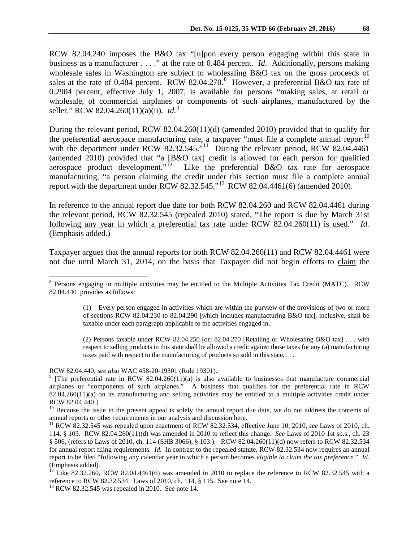RCW 82.04.240 imposes the B&O tax "[u]pon every person engaging within this state in business as a manufacturer . . . ." at the rate of 0.484 percent. *Id*. Additionally, persons making wholesale sales in Washington are subject to wholesaling B&O tax on the gross proceeds of sales at the rate of 0.4[8](#page-2-0)4 percent. RCW 82.04.270.<sup>8</sup> However, a preferential B&O tax rate of 0.2904 percent, effective July 1, 2007, is available for persons "making sales, at retail or wholesale, of commercial airplanes or components of such airplanes, manufactured by the seller." RCW 82.04.260(11)(a)(ii). *Id.*[9](#page-2-1)

During the relevant period, RCW 82.04.260(11)(d) (amended 2010) provided that to qualify for the preferential aerospace manufacturing rate, a taxpayer "must file a complete annual report $10$ with the department under RCW 82.32.545."<sup>[11](#page-2-3)</sup> During the relevant period, RCW 82.04.4461 (amended 2010) provided that "a [B&O tax] credit is allowed for each person for qualified aerospace product development."<sup>12</sup> Like the preferential B&O tax rate for aerospace Like the preferential  $B&O$  tax rate for aerospace manufacturing, "a person claiming the credit under this section must file a complete annual report with the department under RCW 82.32.545."<sup>[13](#page-2-5)</sup> RCW 82.04.4461(6) (amended 2010).

In reference to the annual report due date for both RCW 82.04.260 and RCW 82.04.4461 during the relevant period, RCW 82.32.545 (repealed 2010) stated, "The report is due by March 31st following any year in which a preferential tax rate under RCW 82.04.260(11) is used." *Id.* (Emphasis added.)

Taxpayer argues that the annual reports for both RCW 82.04.260(11) and RCW 82.04.4461 were not due until March 31, 2014, on the basis that Taxpayer did not begin efforts to claim the

(2) Persons taxable under RCW 82.04.250 [or] 82.04.270 [Retailing or Wholesaling B&O tax] . . . with respect to selling products in this state shall be allowed a credit against those taxes for any (a) manufacturing taxes paid with respect to the manufacturing of products so sold in this state, . . .

<span id="page-2-0"></span> <sup>8</sup> Persons engaging in multiple activities may be entitled to the Multiple Activities Tax Credit (MATC). RCW 82.04.440 provides as follows:

<sup>(1)</sup> Every person engaged in activities which are within the purview of the provisions of two or more of sections RCW 82.04.230 to 82.04.290 [which includes manufacturing B&O tax], inclusive, shall be taxable under each paragraph applicable to the activities engaged in.

<span id="page-2-1"></span>RCW 82.04.440; *see also* WAC 458-20-19301 (Rule 19301).<br><sup>9</sup> [The preferential rate in RCW 82.04.260(11)(a) is also available to businesses that manufacture commercial airplanes or "components of such airplanes." A business that qualifies for the preferential rate in RCW 82.04.260(11)(a) on its manufacturing and selling activities may be entitled to a multiple activities credit under RCW 82.04.440.]

<span id="page-2-2"></span><sup>&</sup>lt;sup>10</sup> Because the issue in the present appeal is solely the annual report due date, we do not address the contents of annual reports or other requirements in our analysis and discussion here.

<span id="page-2-3"></span><sup>&</sup>lt;sup>11</sup> RCW 82.32.545 was repealed upon enactment of RCW 82.32.534, effective June 10, 2010, *see* Laws of 2010, ch. 114, § 103. RCW 82.04.260(11)(d) was amended in 2010 to reflect this change. *See* Laws of 2010 1st sp.s., ch. 23 § 506, (refers to Laws of 2010, ch. 114 (SHB 3066), § 103.). RCW 82.04.260(11)(d) now refers to RCW 82.32.534 for annual report filing requirements. *Id.* In contrast to the repealed statute, RCW 82.32.534 now requires an annual report to be filed "following any calendar year in which a person becomes *eligible to claim the tax preference*." *Id.* (Emphasis added).

<span id="page-2-4"></span><sup>&</sup>lt;sup>12</sup> Like 82.32.260, RCW 82.04.4461(6) was amended in 2010 to replace the reference to RCW 82.32.545 with a reference to RCW 82.32.534. Laws of 2010, ch. 114, § 115. See note 14.<br><sup>13</sup> RCW 82.32.545 was repealed in 2010. See note 14.

<span id="page-2-5"></span>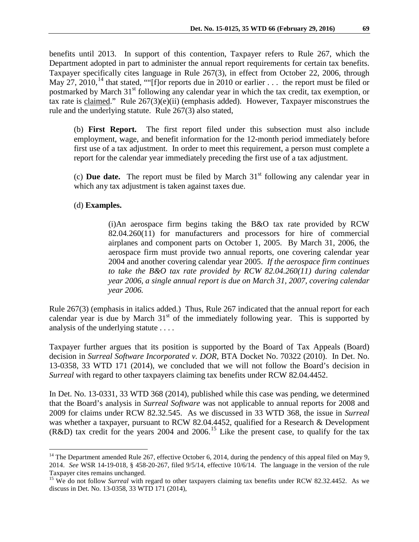benefits until 2013. In support of this contention, Taxpayer refers to Rule 267, which the Department adopted in part to administer the annual report requirements for certain tax benefits. Taxpayer specifically cites language in Rule 267(3), in effect from October 22, 2006, through May 27, 2010,<sup>[14](#page-3-0)</sup> that stated, ""[f]or reports due in 2010 or earlier . . . the report must be filed or postmarked by March 31<sup>st</sup> following any calendar year in which the tax credit, tax exemption, or tax rate is claimed." Rule  $267(3)(e)(ii)$  (emphasis added). However, Taxpayer misconstrues the rule and the underlying statute. Rule 267(3) also stated,

(b) **First Report.** The first report filed under this subsection must also include employment, wage, and benefit information for the 12-month period immediately before first use of a tax adjustment. In order to meet this requirement, a person must complete a report for the calendar year immediately preceding the first use of a tax adjustment.

(c) **Due date.** The report must be filed by March  $31<sup>st</sup>$  following any calendar year in which any tax adjustment is taken against taxes due.

### (d) **Examples.**

(i)An aerospace firm begins taking the B&O tax rate provided by RCW 82.04.260(11) for manufacturers and processors for hire of commercial airplanes and component parts on October 1, 2005. By March 31, 2006, the aerospace firm must provide two annual reports, one covering calendar year 2004 and another covering calendar year 2005. *If the aerospace firm continues to take the B&O tax rate provided by RCW 82.04.260(11) during calendar year 2006, a single annual report is due on March 31, 2007, covering calendar year 2006.* 

Rule 267(3) (emphasis in italics added.) Thus, Rule 267 indicated that the annual report for each calendar year is due by March  $31<sup>st</sup>$  of the immediately following year. This is supported by analysis of the underlying statute . . . .

Taxpayer further argues that its position is supported by the Board of Tax Appeals (Board) decision in *Surreal Software Incorporated v. DOR*, BTA Docket No. 70322 (2010). In Det. No. 13-0358, 33 WTD 171 (2014), we concluded that we will not follow the Board's decision in *Surreal* with regard to other taxpayers claiming tax benefits under RCW 82.04.4452.

In Det. No. 13-0331, 33 WTD 368 (2014), published while this case was pending, we determined that the Board's analysis in *Surreal Software* was not applicable to annual reports for 2008 and 2009 for claims under RCW 82.32.545. As we discussed in 33 WTD 368, the issue in *Surreal* was whether a taxpayer, pursuant to RCW 82.04.4452, qualified for a Research & Development  $(R&D)$  tax credit for the years 2004 and 2006.<sup>[15](#page-3-1)</sup> Like the present case, to qualify for the tax

<span id="page-3-0"></span> $14$  The Department amended Rule 267, effective October 6, 2014, during the pendency of this appeal filed on May 9, 2014. *See* WSR 14-19-018, § 458-20-267, filed 9/5/14, effective 10/6/14. The language in the version of the rule

<span id="page-3-1"></span>Taxpayer cites remains unchanged.<br><sup>15</sup> We do not follow *Surreal* with regard to other taxpayers claiming tax benefits under RCW 82.32.4452. As we discuss in Det. No. 13-0358, 33 WTD 171 (2014),